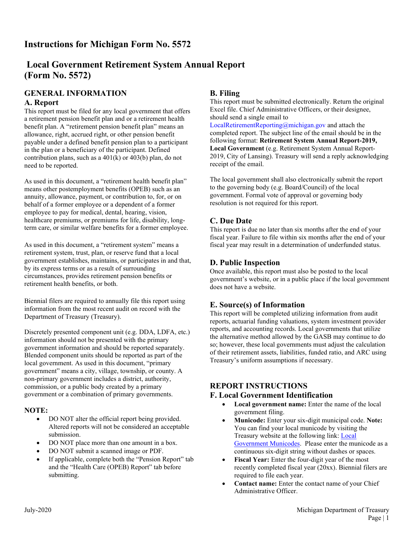# **Instructions for Michigan Form No. 5572**

# **Local Government Retirement System Annual Report (Form No. 5572)**

### **GENERAL INFORMATION A. Report**

This report must be filed for any local government that offers a retirement pension benefit plan and or a retirement health benefit plan. A "retirement pension benefit plan" means an allowance, right, accrued right, or other pension benefit payable under a defined benefit pension plan to a participant in the plan or a beneficiary of the participant. Defined contribution plans, such as a  $401(k)$  or  $403(b)$  plan, do not need to be reported.

As used in this document, a "retirement health benefit plan" means other postemployment benefits (OPEB) such as an annuity, allowance, payment, or contribution to, for, or on behalf of a former employee or a dependent of a former employee to pay for medical, dental, hearing, vision, healthcare premiums, or premiums for life, disability, longterm care, or similar welfare benefits for a former employee.

As used in this document, a "retirement system" means a retirement system, trust, plan, or reserve fund that a local government establishes, maintains, or participates in and that, by its express terms or as a result of surrounding circumstances, provides retirement pension benefits or retirement health benefits, or both.

Biennial filers are required to annually file this report using information from the most recent audit on record with the Department of Treasury (Treasury).

Discretely presented component unit (e.g. DDA, LDFA, etc.) information should not be presented with the primary government information and should be reported separately. Blended component units should be reported as part of the local government. As used in this document, "primary government" means a city, village, township, or county. A non-primary government includes a district, authority, commission, or a public body created by a primary government or a combination of primary governments.

### **NOTE:**

- DO NOT alter the official report being provided. Altered reports will not be considered an acceptable submission.
- DO NOT place more than one amount in a box.
- DO NOT submit a scanned image or PDF.
- If applicable, complete both the "Pension Report" tab and the "Health Care (OPEB) Report" tab before submitting.

## **B. Filing**

This report must be submitted electronically. Return the original Excel file. Chief Administrative Officers, or their designee, should send a single email to

[LocalRetirementReporting@michigan.gov](mailto:LocalRetirementReporting@michigan.gov) and attach the completed report. The subject line of the email should be in the following format: **Retirement System Annual Report-2019, Local Government** (e.g. Retirement System Annual Report-2019, City of Lansing). Treasury will send a reply acknowledging receipt of the email.

The local government shall also electronically submit the report to the governing body (e.g. Board/Council) of the local government. Formal vote of approval or governing body resolution is not required for this report.

### **C. Due Date**

This report is due no later than six months after the end of your fiscal year. Failure to file within six months after the end of your fiscal year may result in a determination of underfunded status.

### **D. Public Inspection**

Once available, this report must also be posted to the local government's website, or in a public place if the local government does not have a website.

## **E. Source(s) of Information**

This report will be completed utilizing information from audit reports, actuarial funding valuations, system investment provider reports, and accounting records. Local governments that utilize the alternative method allowed by the GASB may continue to do so; however, these local governments must adjust the calculation of their retirement assets, liabilities, funded ratio, and ARC using Treasury's uniform assumptions if necessary.

### **REPORT INSTRUCTIONS**

### **F. Local Government Identification**

- **Local government name:** Enter the name of the local government filing.
- **Municode:** Enter your six-digit municipal code. **Note:** You can find your local municode by visiting the Treasury website at the following link: [Local](http://www.michigan.gov/documents/treasury/Local_Units_Municodes_609070_7.xlsx)  [Government](http://www.michigan.gov/documents/treasury/Local_Units_Municodes_609070_7.xlsx) Municodes. Please enter the municode as a continuous six-digit string without dashes or spaces.
- Fiscal Year: Enter the four-digit year of the most recently completed fiscal year (20xx). Biennial filers are required to file each year.
- **Contact name:** Enter the contact name of your Chief Administrative Officer.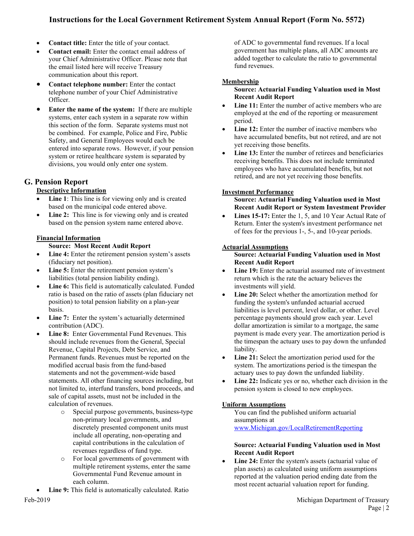## **Instructions for the Local Government Retirement System Annual Report (Form No. 5572)**

- **Contact title:** Enter the title of your contact.
- **Contact email:** Enter the contact email address of your Chief Administrative Officer. Please note that the email listed here will receive Treasury communication about this report.
- **Contact telephone number:** Enter the contact telephone number of your Chief Administrative Officer.
- **Enter the name of the system:** If there are multiple systems, enter each system in a separate row within this section of the form. Separate systems must not be combined. For example, Police and Fire, Public Safety, and General Employees would each be entered into separate rows. However, if your pension system or retiree healthcare system is separated by divisions, you would only enter one system.

## **G. Pension Report**

### **Descriptive Information**

- **Line 1**: This line is for viewing only and is created based on the municipal code entered above.
- Line 2: This line is for viewing only and is created based on the pension system name entered above.

### **Financial Information**

**Source: Most Recent Audit Report**

- Line 4: Enter the retirement pension system's assets (fiduciary net position).
- Line 5: Enter the retirement pension system's liabilities (total pension liability ending).
- Line 6: This field is automatically calculated. Funded ratio is based on the ratio of assets (plan fiduciary net position) to total pension liability on a plan-year basis.
- **Line 7:** Enter the system's actuarially determined contribution (ADC).
- **Line 8:** Enter Governmental Fund Revenues. This should include revenues from the General, Special Revenue, Capital Projects, Debt Service, and Permanent funds. Revenues must be reported on the modified accrual basis from the fund-based statements and not the government-wide based statements. All other financing sources including, but not limited to, interfund transfers, bond proceeds, and sale of capital assets, must not be included in the calculation of revenues.
	- o Special purpose governments, business-type non-primary local governments, and discretely presented component units must include all operating, non-operating and capital contributions in the calculation of revenues regardless of fund type.
	- o For local governments of government with multiple retirement systems, enter the same Governmental Fund Revenue amount in each column.
- Line 9: This field is automatically calculated. Ratio

of ADC to governmental fund revenues. If a local government has multiple plans, all ADC amounts are added together to calculate the ratio to governmental fund revenues.

### **Membership**

#### **Source: Actuarial Funding Valuation used in Most Recent Audit Report**

- **Line 11:** Enter the number of active members who are employed at the end of the reporting or measurement period.
- **Line 12:** Enter the number of inactive members who have accumulated benefits, but not retired, and are not yet receiving those benefits.
- Line 13: Enter the number of retirees and beneficiaries receiving benefits. This does not include terminated employees who have accumulated benefits, but not retired, and are not yet receiving those benefits.

### **Investment Performance**

#### **Source: Actuarial Funding Valuation used in Most Recent Audit Report or System Investment Provider**

• **Lines 15-17:** Enter the 1, 5, and 10 Year Actual Rate of Return. Enter the system's investment performance net of fees for the previous 1-, 5-, and 10-year periods.

### **Actuarial Assumptions**

#### **Source: Actuarial Funding Valuation used in Most Recent Audit Report**

- Line 19: Enter the actuarial assumed rate of investment return which is the rate the actuary believes the investments will yield.
- Line 20: Select whether the amortization method for funding the system's unfunded actuarial accrued liabilities is level percent, level dollar, or other. Level percentage payments should grow each year. Level dollar amortization is similar to a mortgage, the same payment is made every year. The amortization period is the timespan the actuary uses to pay down the unfunded liability.
- **Line 21:** Select the amortization period used for the system. The amortizations period is the timespan the actuary uses to pay down the unfunded liability.
- Line 22: Indicate yes or no, whether each division in the pension system is closed to new employees.

### **Uniform Assumptions**

You can find the published uniform actuarial assumptions at [www.Michigan.gov/LocalRetirementReporting](http://www.michigan.gov/LocalRetirementReporting)

#### **Source: Actuarial Funding Valuation used in Most Recent Audit Report**

Line 24: Enter the system's assets (actuarial value of plan assets) as calculated using uniform assumptions reported at the valuation period ending date from the most recent actuarial valuation report for funding.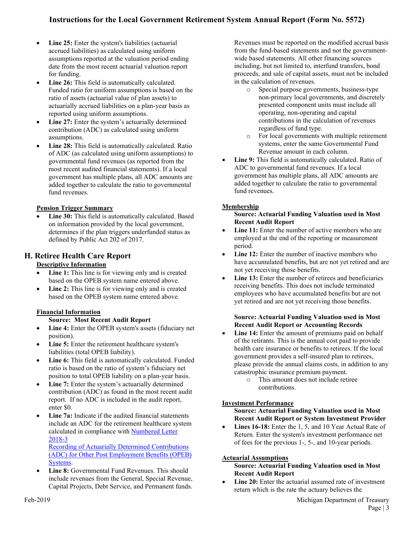## **Instructions for the Local Government Retirement System Annual Report (Form No. 5572)**

- **Line 25:** Enter the system's liabilities (actuarial accrued liabilities) as calculated using uniform assumptions reported at the valuation period ending date from the most recent actuarial valuation report for funding.
- Line 26: This field is automatically calculated. Funded ratio for uniform assumptions is based on the ratio of assets (actuarial value of plan assets) to actuarially accrued liabilities on a plan-year basis as reported using uniform assumptions.
- Line 27: Enter the system's actuarially determined contribution (ADC) as calculated using uniform assumptions.
- Line 28: This field is automatically calculated. Ratio of ADC (as calculated using uniform assumptions) to governmental fund revenues (as reported from the most recent audited financial statements). If a local government has multiple plans, all ADC amounts are added together to calculate the ratio to governmental fund revenues.

### **Pension Trigger Summary**

Line 30: This field is automatically calculated. Based on information provided by the local government, determines if the plan triggers underfunded status as defined by Public Act 202 of 2017.

### **H. Retiree Health Care Report Descriptive Information**

- **Line 1:** This line is for viewing only and is created based on the OPEB system name entered above.
- Line 2: This line is for viewing only and is created based on the OPEB system name entered above.

### **Financial Information**

### **Source: Most Recent Audit Report**

- Line 4: Enter the OPEB system's assets (fiduciary net position).
- Line 5: Enter the retirement healthcare system's liabilities (total OPEB liability).
- Line 6: This field is automatically calculated. Funded ratio is based on the ratio of system's fiduciary net position to total OPEB liability on a plan-year basis.
- **Line 7:** Enter the system's actuarially determined contribution (ADC) as found in the most recent audit report. If no ADC is included in the audit report, enter \$0.
- **Line 7a:** Indicate if the audited financial statements include an ADC for the retirement healthcare system calculated in compliance with [Numbered Letter](https://www.michigan.gov/documents/treasury/Numbered_Letter_2018-3_634580_7.pdf)  [2018-3](https://www.michigan.gov/documents/treasury/Numbered_Letter_2018-3_634580_7.pdf)

[Recording of Actuarially Determined Contributions](https://www.michigan.gov/documents/treasury/Numbered_Letter_2018-3_634580_7.pdf) [\(ADC\) for Other Post Employment Benefits \(OPEB\)](https://www.michigan.gov/documents/treasury/Numbered_Letter_2018-3_634580_7.pdf) [Systems.](https://www.michigan.gov/documents/treasury/Numbered_Letter_2018-3_634580_7.pdf)

**Line 8:** Governmental Fund Revenues. This should include revenues from the General, Special Revenue, Capital Projects, Debt Service, and Permanent funds.

Revenues must be reported on the modified accrual basis from the fund-based statements and not the governmentwide based statements. All other financing sources including, but not limited to, interfund transfers, bond proceeds, and sale of capital assets, must not be included in the calculation of revenues.

- o Special purpose governments, business-type non-primary local governments, and discretely presented component units must include all operating, non-operating and capital contributions in the calculation of revenues regardless of fund type.
- o For local governments with multiple retirement systems, enter the same Governmental Fund Revenue amount in each column.
- **Line 9:** This field is automatically calculated. Ratio of ADC to governmental fund revenues. If a local government has multiple plans, all ADC amounts are added together to calculate the ratio to governmental fund revenues.

### **Membership**

#### **Source: Actuarial Funding Valuation used in Most Recent Audit Report**

- Line 11: Enter the number of active members who are employed at the end of the reporting or measurement period.
- **Line 12:** Enter the number of inactive members who have accumulated benefits, but are not yet retired and are not yet receiving those benefits.
- Line 13: Enter the number of retirees and beneficiaries receiving benefits. This does not include terminated employees who have accumulated benefits but are not yet retired and are not yet receiving those benefits.

#### **Source: Actuarial Funding Valuation used in Most Recent Audit Report or Accounting Records**

- **Line 14:** Enter the amount of premiums paid on behalf of the retirants. This is the annual cost paid to provide health care insurance or benefits to retirees. If the local government provides a self-insured plan to retirees, please provide the annual claims costs, in addition to any catastrophic insurance premium payment.
	- o This amount does not include retiree contributions.

### **Investment Performance**

#### **Source: Actuarial Funding Valuation used in Most Recent Audit Report or System Investment Provider**

• **Lines 16-18:** Enter the 1, 5, and 10 Year Actual Rate of Return. Enter the system's investment performance net of fees for the previous 1-, 5-, and 10-year periods.

### **Actuarial Assumptions**

#### **Source: Actuarial Funding Valuation used in Most Recent Audit Report**

• **Line 20:** Enter the actuarial assumed rate of investment return which is the rate the actuary believes the